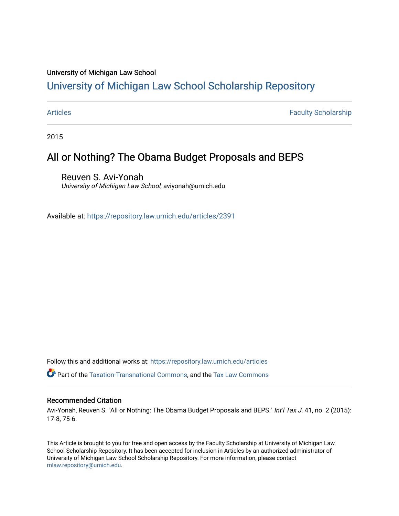#### University of Michigan Law School

#### [University of Michigan Law School Scholarship Repository](https://repository.law.umich.edu/)

[Articles](https://repository.law.umich.edu/articles) **Faculty Scholarship** Faculty Scholarship

2015

#### All or Nothing? The Obama Budget Proposals and BEPS

Reuven S. Avi-Yonah University of Michigan Law School, aviyonah@umich.edu

Available at: <https://repository.law.umich.edu/articles/2391>

Follow this and additional works at: [https://repository.law.umich.edu/articles](https://repository.law.umich.edu/articles?utm_source=repository.law.umich.edu%2Farticles%2F2391&utm_medium=PDF&utm_campaign=PDFCoverPages) 

Part of the [Taxation-Transnational Commons](http://network.bepress.com/hgg/discipline/883?utm_source=repository.law.umich.edu%2Farticles%2F2391&utm_medium=PDF&utm_campaign=PDFCoverPages), and the [Tax Law Commons](http://network.bepress.com/hgg/discipline/898?utm_source=repository.law.umich.edu%2Farticles%2F2391&utm_medium=PDF&utm_campaign=PDFCoverPages) 

#### Recommended Citation

Avi-Yonah, Reuven S. "All or Nothing: The Obama Budget Proposals and BEPS." Int'l Tax J. 41, no. 2 (2015): 17-8, 75-6.

This Article is brought to you for free and open access by the Faculty Scholarship at University of Michigan Law School Scholarship Repository. It has been accepted for inclusion in Articles by an authorized administrator of University of Michigan Law School Scholarship Repository. For more information, please contact [mlaw.repository@umich.edu.](mailto:mlaw.repository@umich.edu)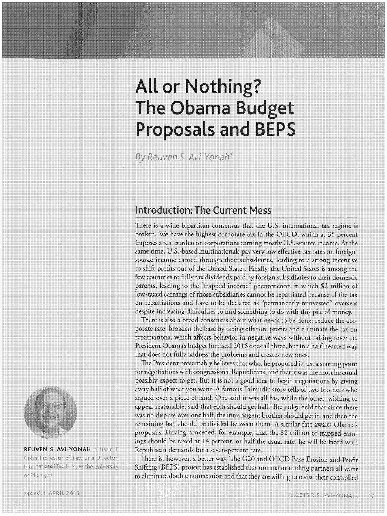# **All or Nothing? The Obama Budget Proposals and BEPS**

By Reuven S. Avi-Yonah<sup>1</sup>

# **Introduction: The Current Mess**

There is a wide bipartisan consensus that the U.S. international tax regime is broken. We have the highest corporate tax in the OECD, which at 35 percent imposes a real burden on corporations earning mostly U.S.-source income. At the same time, U.S.-based multinationals pay very low effective tax rates on foreignsource income earned through their subsidiaries, leading to a strong incentive to shift profits out of the United States. Finally, the United States is among the few countries to fully tax dividends paid by foreign subsidiaries to their domestic parents, leading to the "trapped income" phenomenon in which \$2 trillion of low-taxed earnings of those subsidiaries cannot be repatriated because of the tax on repatriations and have to be declared as "permanently reinvested" overseas despite increasing difficulties to find something to do with this pile of money.

There is also a broad consensus about what needs to be done: reduce the corporate rate, broaden the base by taxing offshore profits and eliminate the tax on repatriations, which affects behavior in negative ways without raising revenue. President Obama's budget for fiscal 2016 does all three, but in a half-hearted way that does not fully address the problems and creates new ones.

The President presumably believes that what he proposed is just a starting point for negotiations with congressional Republicans, and that it was the most he could possibly expect to get. But it is not a good idea to begin negotiations by giving away half of what you want. A famous Talmudic story tells of two brothers who argued over a piece of land. One said it was all his, while the other, wishing to appear reasonable, said that each should get half. The judge held that since there was no dispute over one half, the intransigent brother should get it, and then the remaining half should be divided between them. A similar fate awaits Obama's proposals: Having conceded, for example, that the \$2 trillion of trapped earnings should be taxed at 14 percent, or half the usual rate, he will be faced with Republican demands for a seven-percent rate.

There is, however, a better way. The G20 and OECD Base Erosion and Profit Shifting (BEPS) project has established that our major trading partners all want to eliminate double nontaxation and that they are willing to revise their controlled



**REUVEN S. AVI-YONAH is Irwin 1.** Cohn Professor of Law and Director, International Tax LLM, at the University of Michigan.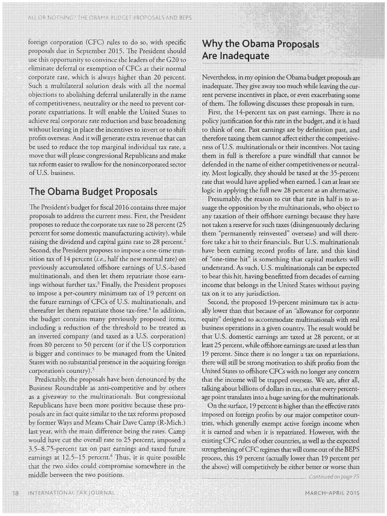foreign corporation (CFC) rules to do so, with specific proposals due in September 2015. The President should use this opportunity to convince the leaders of the G20 to eliminate deferral or exemption of CFCs at their normal corporate rate, which is always higher than 20 percent. Such a multilateral solution deals with all the normal objections to abolishing deferral unilaterally in the name of competitiveness, neutrality or the need to prevent corporate expatriations. It will enable the United States to achieve real corporate rate reduction and base broadening without leaving in place the incentives to invert or to shift profits overseas. And it will generate extra revenue that can be used to reduce the top marginal individual tax rate, a move that will please congressional Republicans and make tax reform easier to swallow for the nonincorporared sector of U.S. business.

# **The Obama Budget Proposals**

The President's budget for fiscal 2016 contains three major proposals to address the current mess. First, the President proposes to reduce the corporate tax rate to 28 percent (25 percent for some domestic manufacturing activity), while raising the dividend and capital gains rate to 28 percent.<sup>2</sup> Second, the President proposes to impose a one-time transition tax of 14 percent *(i.e.,* half the new normal rate) on previously accumulated offshore earnings of U.S.-based multinationals, and then let them repatriate those earnings without further tax.<sup>3</sup> Finally, the President proposes to impose a per-country minimum tax of 19 percent on the future earnings of CFCs of U.S. multinationals, and thereafter let them repatriate those tax-free.<sup>4</sup> In addition, the budget contains many previously proposed items, including a reduction of the threshold to be treated as an **inverted** company (and taxed as a U.S. corporation) from 80 percent to 50 percent (or if the US corporation .is bigger and continues to be managed from the United States with no substantial presence in the acquiring foreign corporation's country).<sup>5</sup>

Predictably, the proposals have been denounced by the Business Roundtable as anti-competitive and by others as a giveaway to the multinationals. But congressional Republicans have been more positive because these proposals are in fact quite similar to the tax reforms proposed by former Ways and Means Chair Dave Camp (R-Mich.) last year, with the main difference being the rates. Camp would have cut the overall rate to 25 percent, imposed a 3.5-8.75-percent tax on past earnings and taxed future earnings at  $12.5-15$  percent.<sup>6</sup> Thus, it is quite possible. that the two sides could compromise somewhere in the middle between the two positions.

### **Why the Obama Proposals Are Inadequate**

Neverthdess, in my opinion the Obama budget proposals arc inadequate. They give away too much while leaving the current perverse incentives in place, or even exacerbating some of them. The following discusses these proposals in turn.

First, the 14-percent tax on past earnings. **There** is no policy justification for this rate in the budget, and it is hard to think of one. Past earnings are by definition past, and therefore taxing them cannot affect either the competitiveness ofU.S. multinationals or their incentives. Not taxing them in full is therefore a pure windfall that cannot be defended in the name of either competitiveness or neutrality: Most logically, they should be taxed at the 35-percent rate that would have applied when earned. I can at least see logic in applying the full new 28 percent as an alternative.

Presumably, the reason to cut that rate in half is to assuage the opposition by the multinationals, who object to any taxation of their offshore earnings because they **have**  not taken a reserve for such taxes ( disingenuously declaring them "permanently reinvested" overseas) and will therefore take a hit to their financials. But U.S. multinationals have been earning record profits of late, and this kind of "one-time hit" is something that capital markets will understand. As such, U.S. multinationals can be expected to bear this hit, having benefitted from decades of earning income that belongs in **the** United States without paying tax on it to any jurisdiction.

Second, the proposed 19-percent minimum tax is actually lower than that because of an "allowance for corporate equity" designed to accommodate multinationals with real business operations in a given country. The result would be that U.S. domestic earnings are taxed at 28 percent, or at least 25 percent, while offshore earnings are taxed at less than 19 percent. Since there is no longer a tax on repatriations, there will still be strong motivation to shift profits from the United States to offshore CFCs with no longer any concern that the income will be trapped overseas. We are, after all, talking about billions of dollars in tax, so that every percentage point translates into a huge saving for the multinationals.

On the surface, 19 percent is higher than the effective rates imposed on foreign profits by our major competitor countries, which generally exempt active foreign income when it is earned and when it is repatriated. However, with the existing CFC rules of other countries, as well as the expected strengthening of CFC regimes that will come out of the BEPS process, this 19 percent (actually lower than 19 percent per the above) will competitively be either better or worse than<br>*Continued on page 75*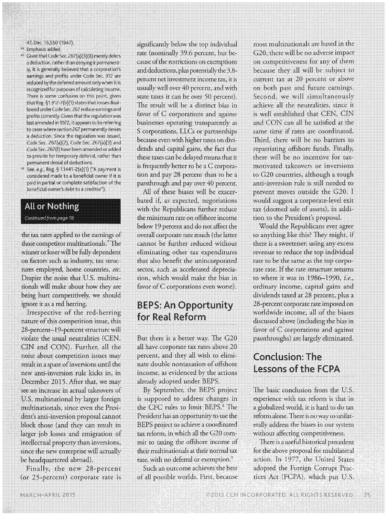#### 47, Dec. 15,550 (1947).

- •◄ Emphasis added.
- Given that Code Sec. 267(a)(3)(B) merely defers a deduction, rather than denying it permanently, it is generally believed that a corporation's i earnings and profits under Code Sec. 312 are reduced by the deferred amount only when it is recognized for purposes of calculating Income. There is some confusion on this point, given that Reg. §1.312-7(b)(1) states that losses disallowed under Code Sec. 267 reduce earnings and profits currently. Given that the regulation was last amended in 1972, it appears to be referring to cases where section 267 permanently denies a deduction. Since the regulation was issued, Code Sec. 267(a)(2), Code Sec. 267(a)(3) and Code Sec. 267(f) have been amended or added to provide for temporary deferral, rather than permanent denial of deductions.
- •~ See, e.g., Reg.§ 1.1441-2(e)(1) ("A payment is considered made to a beneficial owner if it is paid in partial or complete satisfaction of the beneficial owner's debt to a creditor").

#### All or Nothing

Continued from page 18

the tax rates applied to the earnings of those competitor multinationals.<sup>7</sup>The winner or loser will be fully dependent on factors such as industry, tax structures employed, home countries, *etc.*  Despite the noise thar U.S. multinationals will make about how they are being hurt competitivdy, we should ignore it as a red herring.

Irrespective of the red-herring nature of this competition issue, this 28-percent-19-percent structure will violate the usual neutralities (CEN, CIN and CON). Further, all the noise about competition issues may result in a spate of inversions until the new anti-inversion rule kicks in, in December 2015. After that, we may see an increase in actual takeovers of U.S. multinational by larger foreign muJtinationals, since even the President's anti-inversion proposal cannot block those (and they can result in larger job losses and emigration of intellectual property than inversions, since the new enterprise will actually be headquartered abroad).

Finally, the new 28-percent (or 25-percent) corporate rate is

significantly below the top individual rate (nominally 39.6 percent, but because of the restrictions on exemptions and deductions, plus potentially the 3.8 percem net investment income tax, it is usually well over 40 percent, and with state taxes it can **be** over 50 percent). 'The result will be a distinct bias in favor of C corporations and against businesses operating transparently as S corporations, LLCs or partnerships because even with higher taxes on dividends and capital gains, the fact thar these taxes can be delayed means that it is frequently better to be a C corporation and pay 28 percent than to be a passthrough and pay over 40 percent.

All of these biases will be exacerbated if, as expected, negotiations with the Republicans further reduce the minimum rate on offshore income below 19 percent and do not affect the overall corporate rate much (the latter cannot be further reduced without eliminating other tax expenditures that also benefit the unincorporated sector, such as accelerated depreciation, which would make the bias in favor of C corporations even worse).

# BEPS: **An Opportunity for Real Reform**

But there is a better way. The G20 all have corporate tax rates above 20 percent, and they all wish to eliminate double nontaxation of offshore income, as evidenced by the actions already adopted under BEPS.

By September, the BEPS project is supposed to address changes in the CFC rules to limit BEPS.<sup>8</sup> The President has an opportunity to use the BEPS project to achieve a coordinated tax reform, in which all the G20 commit to taxing the offihore income of their multinationals at their normal tax rate, with no deferral or exemption.<sup>9</sup>

Such an outcome achieves the best of all possible worlds. First, because most multinationals are based in the G20, there will be no **adverse** impact on competitiveness for any of **them**  because they all will be subject to current tax at 20 percent or above on both past and future earnings. Second, we will simultaneously achieve all the neutralities, since it is well established that CEN, CIN and CON can all be sarisfied at the same time if rates are coordinated. Third, there will be no barriers to repatriating offshore funds. Finally, there will be no incentive for taxmotivated takeovers or inversions to G20 countries, although a tough anti-inversion rule is still needed to prevent moves outside the G20. I would suggest a corporate-level exit tax (deemed sale of assets), in addition to the President's proposal.

Would the Republicans ever agree to anything like this? They might, if there is a sweetener: using any excess revenue to reduce the top individual rate to be the same as the top corporate rate. If the rate structure returns to where it was in 1986-1990, *i.e.,*  ordinary income, capital gains and dividends taxed at 28 percent, plus a 28-percent corporate rare imposed on worldwide income, all of the biases discussed above (including **the** bias in favor of C corporations and against passthroughs) are largely eliminated.

# **Conclusion: The Lessons of the FCPA**

The basic conclusion from the U.S. experience with tax reform is that in a globalized world, it is hard to do tax reform alone. There is no way to unilaterally address the biases in our system without affecting competitiveness.

There *is* a useful historical precedent for the above proposal for multilateral action. In 1977, the United States adopted **the** Foreign Corrupt Practices Act (FCPA), which put U.S.